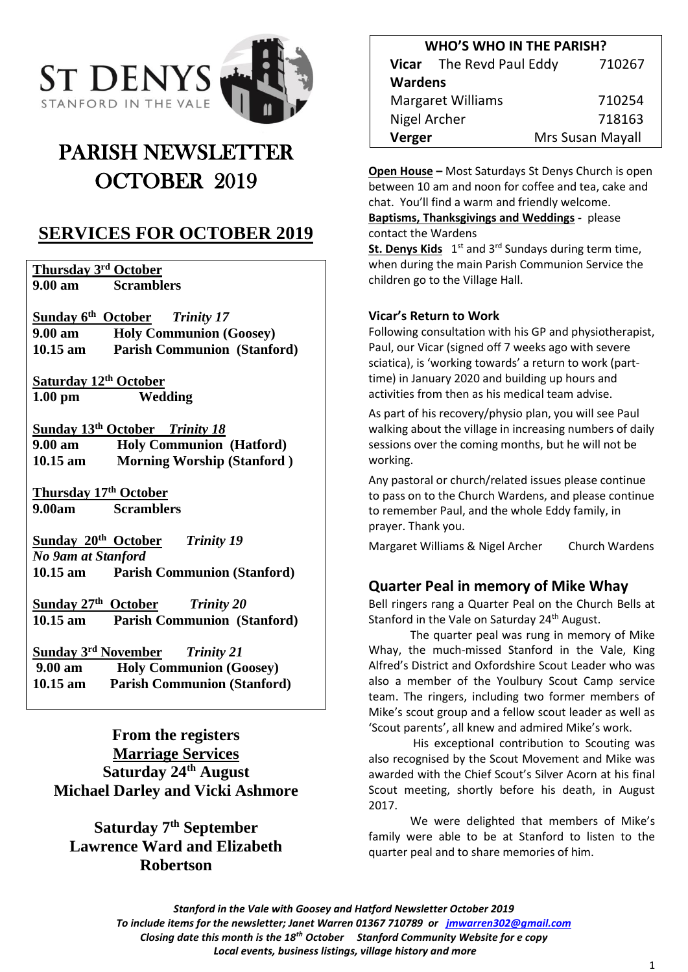

# PARISH NEWSLETTER OCTOBER 2019

# **SERVICES FOR OCTOBER 2019**

**Thursday 3rd October 9.00 am Scramblers**

**Sunday 6 th October** *Trinity 17* **9.00 am Holy Communion (Goosey) 10.15 am Parish Communion (Stanford)**

**Saturday 12th October 1.00 pm Wedding**

**Sunday 13 th October** *Trinity 18* **9.00 am Holy Communion (Hatford) 10.15 am Morning Worship (Stanford )**

**Thursday 17th October 9.00am Scramblers**

**Sunday 20 th October** *Trinity 19 No 9am at Stanford* **10.15 am Parish Communion (Stanford)**

**Sunday 27 th October** *Trinity 20*  **10.15 am Parish Communion (Stanford)**

**Sunday 3 rd November** *Trinity 21* **9.00 am Holy Communion (Goosey) 10.15 am Parish Communion (Stanford)**

**From the registers Marriage Services Saturday 24th August Michael Darley and Vicki Ashmore**

# **Saturday 7th September Lawrence Ward and Elizabeth Robertson**

| <b>WHO'S WHO IN THE PARISH?</b> |                          |                  |
|---------------------------------|--------------------------|------------------|
|                                 | Vicar The Revd Paul Eddy | 710267           |
| <b>Wardens</b>                  |                          |                  |
| <b>Margaret Williams</b>        |                          | 710254           |
| <b>Nigel Archer</b>             |                          | 718163           |
| Verger                          |                          | Mrs Susan Mayall |

**Open House –** Most Saturdays St Denys Church is open between 10 am and noon for coffee and tea, cake and chat. You'll find a warm and friendly welcome.

**Baptisms, Thanksgivings and Weddings -** please contact the Wardens

St. Denys Kids 1<sup>st</sup> and 3<sup>rd</sup> Sundays during term time, when during the main Parish Communion Service the children go to the Village Hall.

### **Vicar's Return to Work**

Following consultation with his GP and physiotherapist, Paul, our Vicar (signed off 7 weeks ago with severe sciatica), is 'working towards' a return to work (parttime) in January 2020 and building up hours and activities from then as his medical team advise.

As part of his recovery/physio plan, you will see Paul walking about the village in increasing numbers of daily sessions over the coming months, but he will not be working.

Any pastoral or church/related issues please continue to pass on to the Church Wardens, and please continue to remember Paul, and the whole Eddy family, in prayer. Thank you.

Margaret Williams & Nigel Archer Church Wardens

### **Quarter Peal in memory of Mike Whay**

Bell ringers rang a Quarter Peal on the Church Bells at Stanford in the Vale on Saturday 24<sup>th</sup> August.

The quarter peal was rung in memory of Mike Whay, the much-missed Stanford in the Vale, King Alfred's District and Oxfordshire Scout Leader who was also a member of the Youlbury Scout Camp service team. The ringers, including two former members of Mike's scout group and a fellow scout leader as well as 'Scout parents', all knew and admired Mike's work.

His exceptional contribution to Scouting was also recognised by the Scout Movement and Mike was awarded with the Chief Scout's Silver Acorn at his final Scout meeting, shortly before his death, in August 2017.

We were delighted that members of Mike's family were able to be at Stanford to listen to the quarter peal and to share memories of him.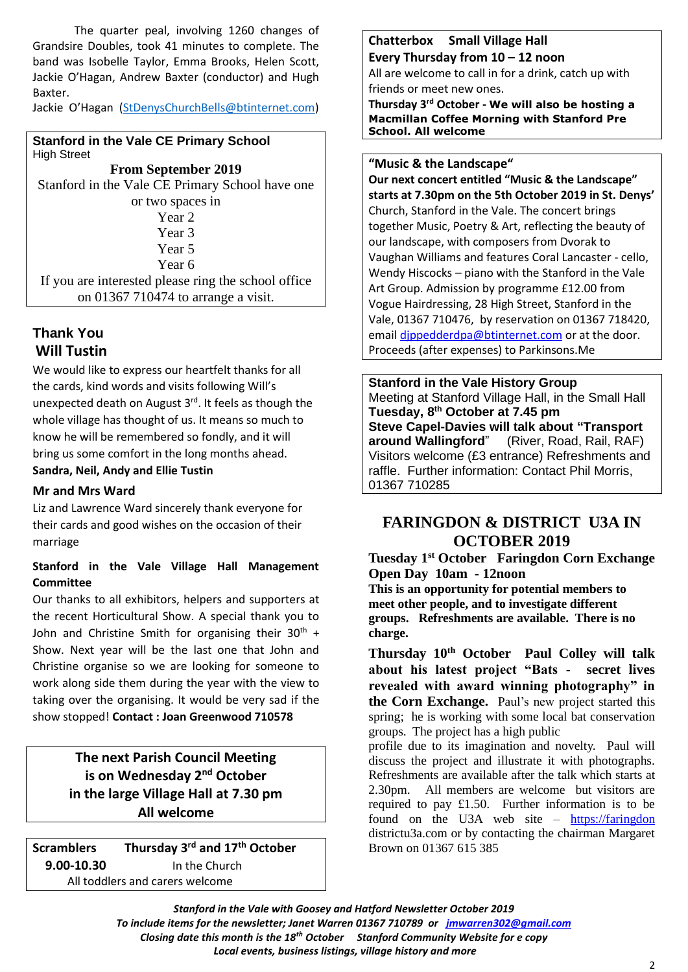The quarter peal, involving 1260 changes of Grandsire Doubles, took 41 minutes to complete. The band was Isobelle Taylor, Emma Brooks, Helen Scott, Jackie O'Hagan, Andrew Baxter (conductor) and Hugh Baxter.

Jackie O'Hagan [\(StDenysChurchBells@btinternet.com\)](mailto:StDenysChurchBells@btinternet.com)

**Stanford in the Vale CE Primary School** High Street

**From September 2019** Stanford in the Vale CE Primary School have one or two spaces in Year 2 Year 3 Year 5 Year 6 If you are interested please ring the school office on 01367 710474 to arrange a visit.

# **Thank You Will Tustin**

We would like to express our heartfelt thanks for all the cards, kind words and visits following Will's unexpected death on August  $3<sup>rd</sup>$ . It feels as though the whole village has thought of us. It means so much to know he will be remembered so fondly, and it will bring us some comfort in the long months ahead. **Sandra, Neil, Andy and Ellie Tustin**

### **Mr and Mrs Ward**

Liz and Lawrence Ward sincerely thank everyone for their cards and good wishes on the occasion of their marriage

### **Stanford in the Vale Village Hall Management Committee**

Our thanks to all exhibitors, helpers and supporters at the recent Horticultural Show. A special thank you to John and Christine Smith for organising their  $30<sup>th</sup>$  + Show. Next year will be the last one that John and Christine organise so we are looking for someone to work along side them during the year with the view to taking over the organising. It would be very sad if the show stopped! **Contact : Joan Greenwood 710578**

> **The next Parish Council Meeting is on Wednesday 2<sup>nd</sup> October in the large Village Hall at 7.30 pm All welcome**

**Scramblers rd and 17th October 9.00-10.30** In the Church All toddlers and carers welcome

#### **Chatterbox Small Village Hall Every Thursday from 10 – 12 noon**

All are welcome to call in for a drink, catch up with friends or meet new ones.

**Thursday 3 rd October - We will also be hosting a Macmillan Coffee Morning with Stanford Pre School. All welcome**

#### **"Music & the Landscape"**

**Our next concert entitled "Music & the Landscape" starts at 7.30pm on the 5th October 2019 in St. Denys'** Church, Stanford in the Vale. The concert brings together Music, Poetry & Art, reflecting the beauty of our landscape, with composers from Dvorak to Vaughan Williams and features Coral Lancaster - cello, Wendy Hiscocks – piano with the Stanford in the Vale Art Group. Admission by programme £12.00 from Vogue Hairdressing, 28 High Street, Stanford in the Vale, 01367 710476, by reservation on 01367 718420, email dippedderdpa@btinternet.com or at the door. Proceeds (after expenses) to Parkinsons.Me

**Stanford in the Vale History Group** Meeting at Stanford Village Hall, in the Small Hall **Tuesday, 8 th October at 7.45 pm Steve Capel-Davies will talk about "Transport around Wallingford**" (River, Road, Rail, RAF) Visitors welcome (£3 entrance) Refreshments and raffle. Further information: Contact Phil Morris, 01367 710285

## **FARINGDON & DISTRICT U3A IN OCTOBER 2019**

**Tuesday 1st October Faringdon Corn Exchange Open Day 10am - 12noon This is an opportunity for potential members to** 

**meet other people, and to investigate different groups. Refreshments are available. There is no charge.**

**Thursday 10th October Paul Colley will talk about his latest project "Bats - secret lives revealed with award winning photography" in the Corn Exchange.** Paul's new project started this spring; he is working with some local bat conservation groups. The project has a high public

profile due to its imagination and novelty. Paul will discuss the project and illustrate it with photographs. Refreshments are available after the talk which starts at 2.30pm. All members are welcome but visitors are required to pay £1.50. Further information is to be found on the U3A web site – [https://faringdon](https://faringdon/) districtu3a.com or by contacting the chairman Margaret Brown on 01367 615 385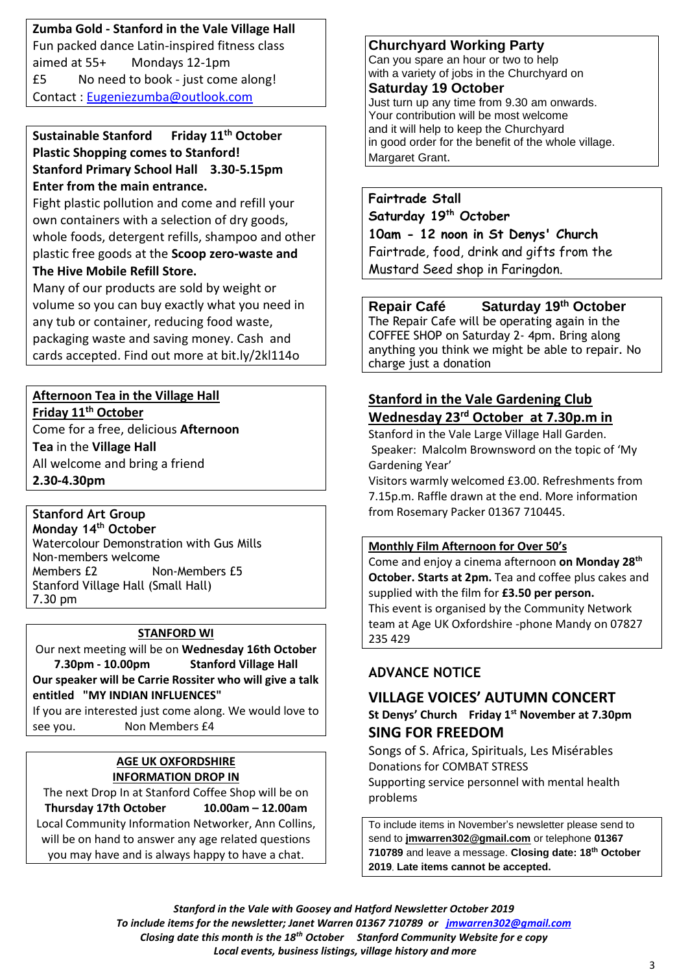**Zumba Gold - Stanford in the Vale Village Hall** Fun packed dance Latin-inspired fitness class aimed at 55+ Mondays 12-1pm £5 No need to book - just come along! Contact : [Eugeniezumba@outlook.com](mailto:Eugeniezumba@outlook.com)

### **Sustainable Stanford Friday 11th October Plastic Shopping comes to Stanford! Stanford Primary School Hall 3.30-5.15pm Enter from the main entrance.**

Fight plastic pollution and come and refill your own containers with a selection of dry goods, whole foods, detergent refills, shampoo and other plastic free goods at the **Scoop zero-waste and The Hive Mobile Refill Store.** 

Many of our products are sold by weight or volume so you can buy exactly what you need in any tub or container, reducing food waste, packaging waste and saving money. Cash and cards accepted. Find out more at bit.ly/2kl114o

# **Afternoon Tea in the Village Hall**

**Friday 11th October**

Come for a free, delicious **Afternoon Tea** in the **Village Hall** All welcome and bring a friend **2.30-4.30pm**

#### **Stanford Art Group Monday 14th October**

Watercolour Demonstration with Gus Mills Non-members welcome Members £2 Non-Members £5 Stanford Village Hall (Small Hall) 7.30 pm

### **STANFORD WI**

Our next meeting will be on **Wednesday 16th October 7.30pm - 10.00pm Stanford Village Hall Our speaker will be Carrie Rossiter who will give a talk** 

**entitled "MY INDIAN INFLUENCES"**

If you are interested just come along. We would love to see you. Non Members £4

## **AGE UK OXFORDSHIRE INFORMATION DROP IN**

The next Drop In at Stanford Coffee Shop will be on **Thursday 17th October 10.00am – 12.00am** Local Community Information Networker, Ann Collins, will be on hand to answer any age related questions you may have and is always happy to have a chat.

# **Churchyard Working Party**

Can you spare an hour or two to help with a variety of jobs in the Churchyard on **Saturday 19 October**

Just turn up any time from 9.30 am onwards. Your contribution will be most welcome and it will help to keep the Churchyard in good order for the benefit of the whole village. Margaret Grant.

**Fairtrade Stall Saturday 19th October 10am - 12 noon in St Denys' Church** Fairtrade, food, drink and gifts from the Mustard Seed shop in Faringdon.

## **Repair Café Saturday 19th October** The Repair Cafe will be operating again in the

COFFEE SHOP on Saturday 2- 4pm. Bring along anything you think we might be able to repair. No charge just a donation

# **Stanford in the Vale Gardening Club Wednesday 23rd October at 7.30p.m in**

Stanford in the Vale Large Village Hall Garden. Speaker: Malcolm Brownsword on the topic of 'My Gardening Year'

Visitors warmly welcomed £3.00. Refreshments from 7.15p.m. Raffle drawn at the end. More information from Rosemary Packer 01367 710445.

## **Monthly Film Afternoon for Over 50's**

Come and enjoy a cinema afternoon **on Monday 28 th October. Starts at 2pm.** Tea and coffee plus cakes and supplied with the film for **£3.50 per person.** This event is organised by the Community Network team at Age UK Oxfordshire -phone Mandy on 07827 235 429

# **ADVANCE NOTICE**

# **VILLAGE VOICES' AUTUMN CONCERT**

### **St Denys' Church Friday 1st November at 7.30pm SING FOR FREEDOM**

Songs of S. Africa, Spirituals, Les Misérables Donations for COMBAT STRESS Supporting service personnel with mental health problems

To include items in November's newsletter please send to send to **[jmwarren302@gmail.com](mailto:jmwarren302@gmail.com)** or telephone **01367 710789** and leave a message. **Closing date: 18th October 2019**. **Late items cannot be accepted.**